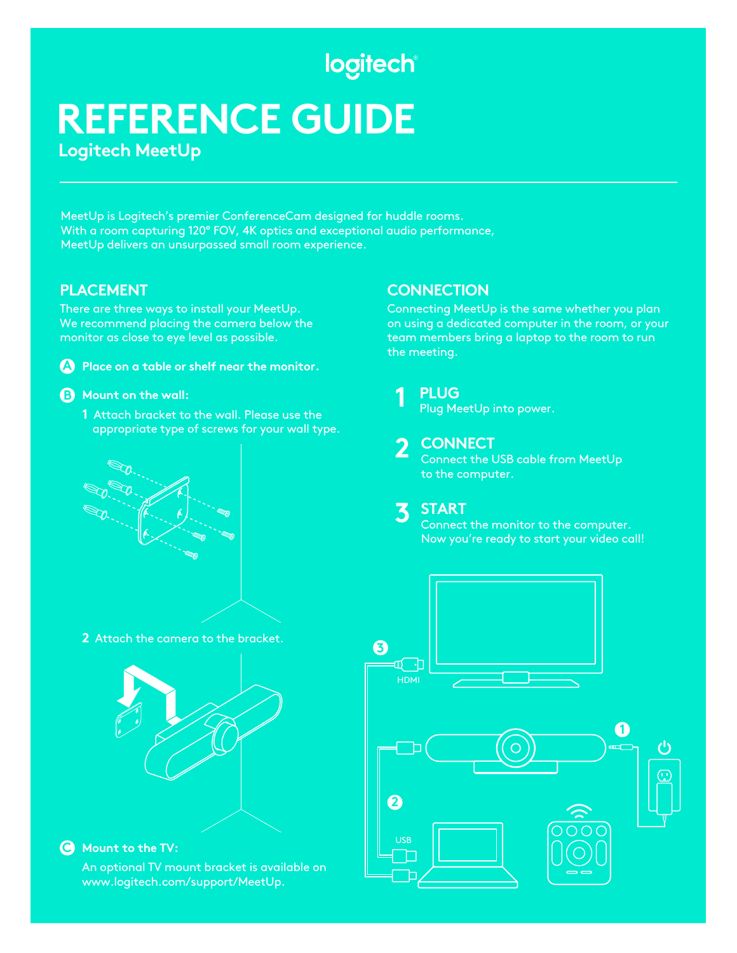## logitech®

## **REFERENCE GUIDE Logitech MeetUp**

MeetUp is Logitech's premier ConferenceCam designed for huddle rooms. With a room capturing 120° FOV, 4K optics and exceptional audio performance, MeetUp delivers an unsurpassed small room experience.

#### **PLACEMENT**

There are three ways to install your MeetUp. We recommend placing the camera below the monitor as close to eye level as possible.



#### **Mount on the wall: B**

**1** Attach bracket to the wall. Please use the appropriate type of screws for your wall type.



**2** Attach the camera to the bracket.



#### **Mount to the TV: C**

An optional TV mount bracket is available on www.logitech.com/support/MeetUp.

#### **CONNECTION**

Connecting MeetUp is the same whether you plan on using a dedicated computer in the room, or your team members bring a laptop to the room to run the meeting.



### Plug MeetUp into power.

## **2** CONNECT

Connect the USB cable from MeetUp to the computer.

#### **START 3**

Connect the monitor to the computer. Now you're ready to start your video call!